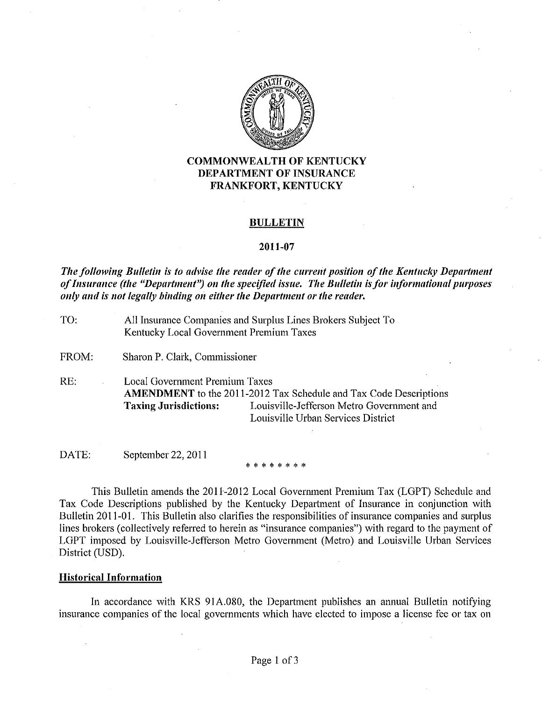

# COMMONWEALTH OF KENTUCKY DEPARTMENT OF INSURANCE FRANKFORT, KENTUCKY

#### BULLETIN

#### 2011-07

*The following Bulletin is to advise the reader of the current position of the Kentucky Department of Insurance (the "Department") on the specified <i>issue. The Bulletin is for informational purposes <i>only* and is not legally binding on either the Department or the reader,

| TO:   | All Insurance Companies and Surplus Lines Brokers Subject To<br>Kentucky Local Government Premium Taxes |                                                                                                                                                             |  |  |  |  |  |
|-------|---------------------------------------------------------------------------------------------------------|-------------------------------------------------------------------------------------------------------------------------------------------------------------|--|--|--|--|--|
| FROM: | Sharon P. Clark, Commissioner                                                                           |                                                                                                                                                             |  |  |  |  |  |
| RE:   | Local Government Premium Taxes<br><b>Taxing Jurisdictions:</b>                                          | <b>AMENDMENT</b> to the 2011-2012 Tax Schedule and Tax Code Descriptions<br>Louisville-Jefferson Metro Government and<br>Louisville Urban Services District |  |  |  |  |  |

DATE: September 22, 2011

\*\*\*\*\*\*\*\*

This Bulletin amends the 2011-2012 Local Government Premium Tax (LOPT) Schedule and Tax Code Descriptions published by the Kentucky Department of Insurance in conjunction with Bulletin 2011-01. This Bulletin also clarifies the responsibilities of insurance companies and surplus lines brokers (collectively referred to herein as "insurance companies") with regard to the payment of LOPT imposed by Louisville-Jefferson Metro Government (Metro) and Louisville Urban Services District (USD).

### Historical Information

In accordance with KRS 91A.080, the Department publishes an annual Bulletin notifying insurance companies of the local governments which have elected to impose a license fee or tax on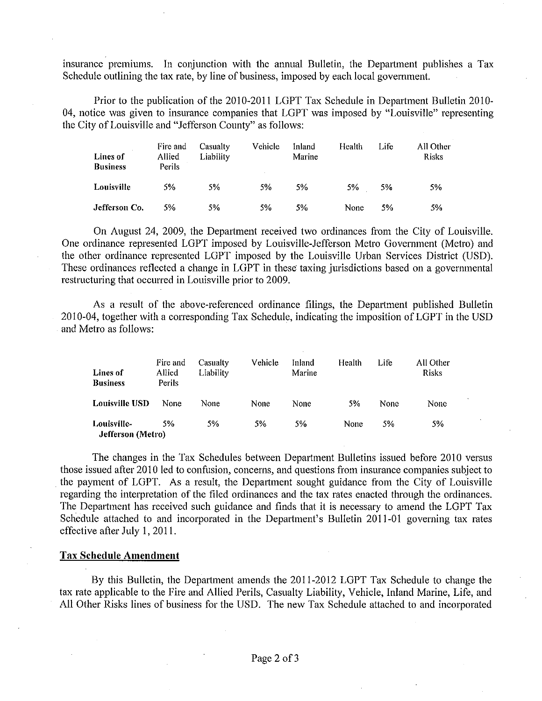insurance premiums. In conjunction with the annual Bulletin, the Department publishes a Tax Schedule outlining the tax rate, by line of business, imposed by each local government.

Prior to the publication of the 2010~2011 LGPT Tax Schedule in Department Bulletin 2010- 04, notice was given to insurance companies that LGPT was imposed by "Louisville" representing the City of Louisville and "Jefferson County" as follows:

| <b>Lines of</b><br><b>Business</b> | Fire and<br>Allied<br>Perils | Casualty<br>Liability | <b>Vehicle</b> | Inland<br>Marine | Health | Life | All Other<br><b>Risks</b> |
|------------------------------------|------------------------------|-----------------------|----------------|------------------|--------|------|---------------------------|
| Louisville                         | 5%                           | 5%                    | 5%             | 5%               | 5%     | 5%   | $5\%$                     |
| Jefferson Co.                      | 5%                           | 5%                    | 5%             | 5%               | None   | 5%   | 5%                        |

On August 24, 2009, the Department received two ordinances from the City of Louisville. One ordinance represented LGPT imposed by Louisville-Jefferson Metro Government (Metro) and the other ordinance represented LGPT imposed by the Louisville Urban Services District (USD). These ordinances reflected a change in LGPT in these taxing jurisdictions based on a governmental restructuring that occurred in Louisville prior to 2009.

As a result of the above-referenced ordinance filings, the Department published Bulletin 2010-04, together with a corresponding Tax Schedule, indicating the imposition of LGPT in the USD and Metro as follows:

| Lines of<br><b>Business</b>      | Fire and<br>Allied<br>Perils | Casualty<br>Liability | Vehicle | Inland<br>Marine | Health | Life | All Other<br><b>Risks</b> |
|----------------------------------|------------------------------|-----------------------|---------|------------------|--------|------|---------------------------|
| <b>Louisville USD</b>            | None                         | None                  | None    | None             | 5%     | None | None                      |
| Louisville-<br>Jefferson (Metro) | 5%                           | 5%                    | 5%      | 5%               | None   | .5%  | 5%                        |

The changes in the Tax Schedules between Department Bulletins issued before 2010 versus those issued after 2010 led to confusion, concerns, and questions from insurance companies subject to the payment of LGPT. As a result, the Department sought guidance from the City of Louisville regarding the interpretation of the filed ordinances and the tax rates enacted through the ordinances. The Department has received such guidance and finds that it is necessary to amend the LOPT Tax Schedule attached to and incorporated in the Department's Bulletin 2011-01 governing tax rates effective after July 1, 2011.

#### Tax Schedule Amendment

By this Bulletin, the Depmtment amends the 2011-2012 LOPT Tax Schedule to change the tax rate applicable to the Fire and Allied Perils, Casualty Liability, Vehicle, Inland Marine, Life, and All Other Risks lines of business for the USD. The new Tax Schedule attached to and incorporated